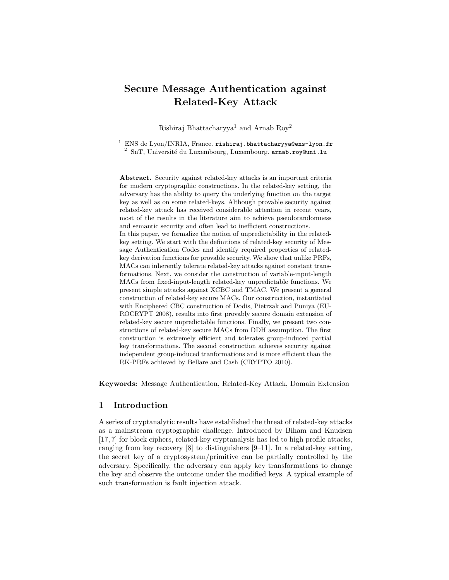# Secure Message Authentication against Related-Key Attack

Rishiraj Bhattacharyya<sup>1</sup> and Arnab Roy<sup>2</sup>

 $^{\rm 1}$  ENS de Lyon/INRIA, France. rishiraj.bhattacharyya@ens-lyon.fr  $^2\,$  SnT, Université du Luxembourg, Luxembourg. $\,$ arnab.roy@uni.lu

Abstract. Security against related-key attacks is an important criteria for modern cryptographic constructions. In the related-key setting, the adversary has the ability to query the underlying function on the target key as well as on some related-keys. Although provable security against related-key attack has received considerable attention in recent years, most of the results in the literature aim to achieve pseudorandomness and semantic security and often lead to inefficient constructions. In this paper, we formalize the notion of unpredictability in the relatedkey setting. We start with the definitions of related-key security of Message Authentication Codes and identify required properties of relatedkey derivation functions for provable security. We show that unlike PRFs, MACs can inherently tolerate related-key attacks against constant transformations. Next, we consider the construction of variable-input-length MACs from fixed-input-length related-key unpredictable functions. We present simple attacks against XCBC and TMAC. We present a general construction of related-key secure MACs. Our construction, instantiated with Enciphered CBC construction of Dodis, Pietrzak and Puniya (EU-ROCRYPT 2008), results into first provably secure domain extension of related-key secure unpredictable functions. Finally, we present two constructions of related-key secure MACs from DDH assumption. The first construction is extremely efficient and tolerates group-induced partial key transformations. The second construction achieves security against independent group-induced tranformations and is more efficient than the RK-PRFs achieved by Bellare and Cash (CRYPTO 2010).

Keywords: Message Authentication, Related-Key Attack, Domain Extension

## 1 Introduction

A series of cryptanalytic results have established the threat of related-key attacks as a mainstream cryptographic challenge. Introduced by Biham and Knudsen [17, 7] for block ciphers, related-key cryptanalysis has led to high profile attacks, ranging from key recovery [8] to distinguishers [9–11]. In a related-key setting, the secret key of a cryptosystem/primitive can be partially controlled by the adversary. Specifically, the adversary can apply key transformations to change the key and observe the outcome under the modified keys. A typical example of such transformation is fault injection attack.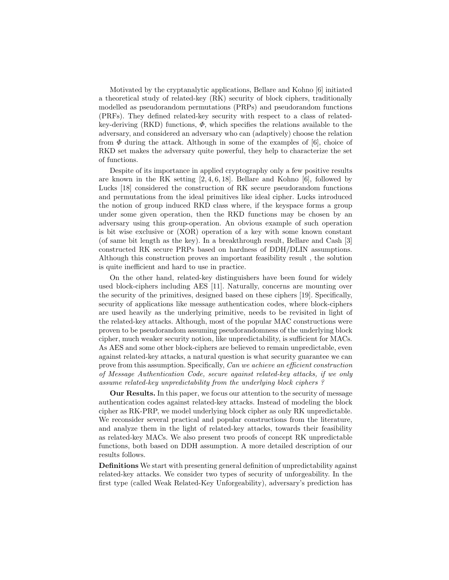Motivated by the cryptanalytic applications, Bellare and Kohno [6] initiated a theoretical study of related-key (RK) security of block ciphers, traditionally modelled as pseudorandom permutations (PRPs) and pseudorandom functions (PRFs). They defined related-key security with respect to a class of relatedkey-deriving (RKD) functions,  $\Phi$ , which specifies the relations available to the adversary, and considered an adversary who can (adaptively) choose the relation from  $\Phi$  during the attack. Although in some of the examples of [6], choice of RKD set makes the adversary quite powerful, they help to characterize the set of functions.

Despite of its importance in applied cryptography only a few positive results are known in the RK setting  $[2, 4, 6, 18]$ . Bellare and Kohno  $[6]$ , followed by Lucks [18] considered the construction of RK secure pseudorandom functions and permutations from the ideal primitives like ideal cipher. Lucks introduced the notion of group induced RKD class where, if the keyspace forms a group under some given operation, then the RKD functions may be chosen by an adversary using this group-operation. An obvious example of such operation is bit wise exclusive or (XOR) operation of a key with some known constant (of same bit length as the key). In a breakthrough result, Bellare and Cash [3] constructed RK secure PRPs based on hardness of DDH/DLIN assumptions. Although this construction proves an important feasibility result , the solution is quite inefficient and hard to use in practice.

On the other hand, related-key distinguishers have been found for widely used block-ciphers including AES [11]. Naturally, concerns are mounting over the security of the primitives, designed based on these ciphers [19]. Specifically, security of applications like message authentication codes, where block-ciphers are used heavily as the underlying primitive, needs to be revisited in light of the related-key attacks. Although, most of the popular MAC constructions were proven to be pseudorandom assuming pseudorandomness of the underlying block cipher, much weaker security notion, like unpredictability, is sufficient for MACs. As AES and some other block-ciphers are believed to remain unpredictable, even against related-key attacks, a natural question is what security guarantee we can prove from this assumption. Specifically, Can we achieve an efficient construction of Message Authentication Code, secure against related-key attacks, if we only assume related-key unpredictability from the underlying block ciphers ?

Our Results. In this paper, we focus our attention to the security of message authentication codes against related-key attacks. Instead of modeling the block cipher as RK-PRP, we model underlying block cipher as only RK unpredictable. We reconsider several practical and popular constructions from the literature, and analyze them in the light of related-key attacks, towards their feasibility as related-key MACs. We also present two proofs of concept RK unpredictable functions, both based on DDH assumption. A more detailed description of our results follows.

Definitions We start with presenting general definition of unpredictability against related-key attacks. We consider two types of security of unforgeability. In the first type (called Weak Related-Key Unforgeability), adversary's prediction has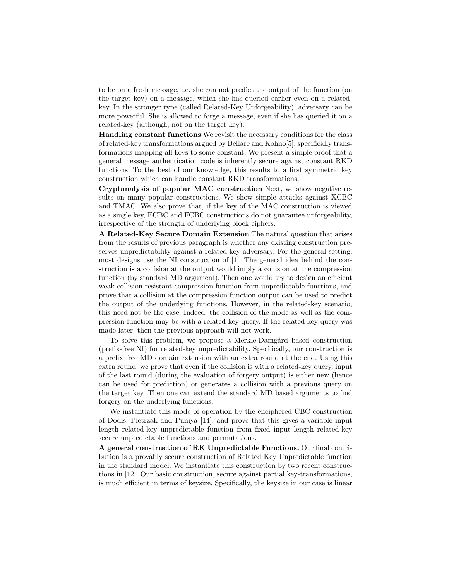to be on a fresh message, i.e. she can not predict the output of the function (on the target key) on a message, which she has queried earlier even on a relatedkey. In the stronger type (called Related-Key Unforgeability), adversary can be more powerful. She is allowed to forge a message, even if she has queried it on a related-key (although, not on the target key).

Handling constant functions We revisit the necessary conditions for the class of related-key transformations argued by Bellare and Kohno[5], specifically transformations mapping all keys to some constant. We present a simple proof that a general message authentication code is inherently secure against constant RKD functions. To the best of our knowledge, this results to a first symmetric key construction which can handle constant RKD transformations.

Cryptanalysis of popular MAC construction Next, we show negative results on many popular constructions. We show simple attacks against XCBC and TMAC. We also prove that, if the key of the MAC construction is viewed as a single key, ECBC and FCBC constructions do not guarantee unforgeability, irrespective of the strength of underlying block ciphers.

A Related-Key Secure Domain Extension The natural question that arises from the results of previous paragraph is whether any existing construction preserves unpredictability against a related-key adversary. For the general setting, most designs use the NI construction of [1]. The general idea behind the construction is a collision at the output would imply a collision at the compression function (by standard MD argument). Then one would try to design an efficient weak collision resistant compression function from unpredictable functions, and prove that a collision at the compression function output can be used to predict the output of the underlying functions. However, in the related-key scenario, this need not be the case. Indeed, the collision of the mode as well as the compression function may be with a related-key query. If the related key query was made later, then the previous approach will not work.

To solve this problem, we propose a Merkle-Damgård based construction (prefix-free NI) for related-key unpredictability. Specifically, our construction is a prefix free MD domain extension with an extra round at the end. Using this extra round, we prove that even if the collision is with a related-key query, input of the last round (during the evaluation of forgery output) is either new (hence can be used for prediction) or generates a collision with a previous query on the target key. Then one can extend the standard MD based arguments to find forgery on the underlying functions.

We instantiate this mode of operation by the enciphered CBC construction of Dodis, Pietrzak and Puniya [14], and prove that this gives a variable input length related-key unpredictable function from fixed input length related-key secure unpredictable functions and permutations.

A general construction of RK Unpredictable Functions. Our final contribution is a provably secure construction of Related Key Unpredictable function in the standard model. We instantiate this construction by two recent constructions in [12]. Our basic construction, secure against partial key-transformations, is much efficient in terms of keysize. Specifically, the keysize in our case is linear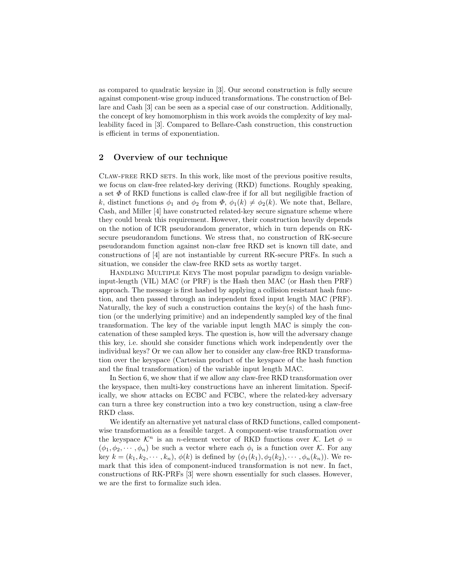as compared to quadratic keysize in [3]. Our second construction is fully secure against component-wise group induced transformations. The construction of Bellare and Cash [3] can be seen as a special case of our construction. Additionally, the concept of key homomorphism in this work avoids the complexity of key malleability faced in [3]. Compared to Bellare-Cash construction, this construction is efficient in terms of exponentiation.

# 2 Overview of our technique

CLAW-FREE RKD SETS. In this work, like most of the previous positive results, we focus on claw-free related-key deriving (RKD) functions. Roughly speaking, a set  $\Phi$  of RKD functions is called claw-free if for all but negiligible fraction of k, distinct functions  $\phi_1$  and  $\phi_2$  from  $\Phi$ ,  $\phi_1(k) \neq \phi_2(k)$ . We note that, Bellare, Cash, and Miller [4] have constructed related-key secure signature scheme where they could break this requirement. However, their construction heavily depends on the notion of ICR pseudorandom generator, which in turn depends on RKsecure pseudorandom functions. We stress that, no construction of RK-secure pseudorandom function against non-claw free RKD set is known till date, and constructions of [4] are not instantiable by current RK-secure PRFs. In such a situation, we consider the claw-free RKD sets as worthy target.

Handling Multiple Keys The most popular paradigm to design variableinput-length (VIL) MAC (or PRF) is the Hash then MAC (or Hash then PRF) approach. The message is first hashed by applying a collision resistant hash function, and then passed through an independent fixed input length MAC (PRF). Naturally, the key of such a construction contains the key(s) of the hash function (or the underlying primitive) and an independently sampled key of the final transformation. The key of the variable input length MAC is simply the concatenation of these sampled keys. The question is, how will the adversary change this key, i.e. should she consider functions which work independently over the individual keys? Or we can allow her to consider any claw-free RKD transformation over the keyspace (Cartesian product of the keyspace of the hash function and the final transformation) of the variable input length MAC.

In Section 6, we show that if we allow any claw-free RKD transformation over the keyspace, then multi-key constructions have an inherent limitation. Specifically, we show attacks on ECBC and FCBC, where the related-key adversary can turn a three key construction into a two key construction, using a claw-free RKD class.

We identify an alternative yet natural class of RKD functions, called componentwise transformation as a feasible target. A component-wise transformation over the keyspace  $\mathcal{K}^n$  is an *n*-element vector of RKD functions over  $\mathcal{K}$ . Let  $\phi =$  $(\phi_1, \phi_2, \dots, \phi_n)$  be such a vector where each  $\phi_i$  is a function over K. For any key  $k = (k_1, k_2, \dots, k_n)$ ,  $\phi(k)$  is defined by  $(\phi_1(k_1), \phi_2(k_2), \dots, \phi_n(k_n))$ . We remark that this idea of component-induced transformation is not new. In fact, constructions of RK-PRFs [3] were shown essentially for such classes. However, we are the first to formalize such idea.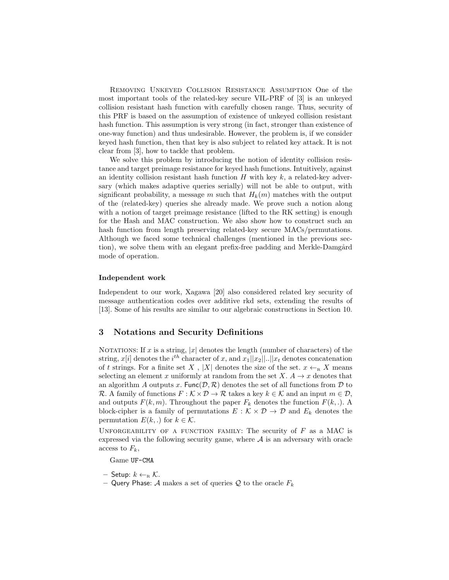Removing Unkeyed Collision Resistance Assumption One of the most important tools of the related-key secure VIL-PRF of [3] is an unkeyed collision resistant hash function with carefully chosen range. Thus, security of this PRF is based on the assumption of existence of unkeyed collision resistant hash function. This assumption is very strong (in fact, stronger than existence of one-way function) and thus undesirable. However, the problem is, if we consider keyed hash function, then that key is also subject to related key attack. It is not clear from [3], how to tackle that problem.

We solve this problem by introducing the notion of identity collision resistance and target preimage resistance for keyed hash functions. Intuitively, against an identity collision resistant hash function  $H$  with key  $k$ , a related-key adversary (which makes adaptive queries serially) will not be able to output, with significant probability, a message m such that  $H_k(m)$  matches with the output of the (related-key) queries she already made. We prove such a notion along with a notion of target preimage resistance (lifted to the RK setting) is enough for the Hash and MAC construction. We also show how to construct such an hash function from length preserving related-key secure MACs/permutations. Although we faced some technical challenges (mentioned in the previous section), we solve them with an elegant prefix-free padding and Merkle-Damgård mode of operation.

#### Independent work

Independent to our work, Xagawa [20] also considered related key security of message authentication codes over additive rkd sets, extending the results of [13]. Some of his results are similar to our algebraic constructions in Section 10.

# 3 Notations and Security Definitions

NOTATIONS: If x is a string, |x| denotes the length (number of characters) of the string,  $x[i]$  denotes the  $i^{th}$  character of x, and  $x_1||x_2||...||x_t$  denotes concatenation of t strings. For a finite set X, |X| denotes the size of the set.  $x \leftarrow_R X$  means selecting an element x uniformly at random from the set  $X$ .  $A \rightarrow x$  denotes that an algorithm A outputs x. Func $(D, \mathcal{R})$  denotes the set of all functions from D to R. A family of functions  $F : \mathcal{K} \times \mathcal{D} \to \mathcal{R}$  takes a key  $k \in \mathcal{K}$  and an input  $m \in \mathcal{D}$ , and outputs  $F(k, m)$ . Throughout the paper  $F_k$  denotes the function  $F(k, .)$ . A block-cipher is a family of permutations  $E : \mathcal{K} \times \mathcal{D} \to \mathcal{D}$  and  $E_k$  denotes the permutation  $E(k,.)$  for  $k \in \mathcal{K}$ .

UNFORGEABILITY OF A FUNCTION FAMILY: The security of  $F$  as a MAC is expressed via the following security game, where  $A$  is an adversary with oracle access to  $F_k$ ,

Game UF-CMA

- Setup:  $k \leftarrow_R \mathcal{K}$ .
- Query Phase: A makes a set of queries Q to the oracle  $F_k$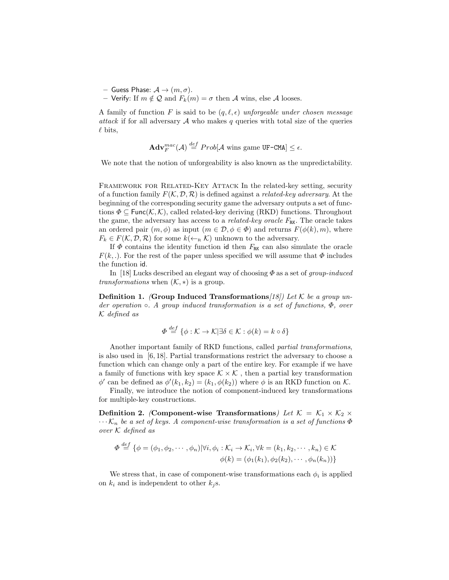– Guess Phase:  $A \rightarrow (m, \sigma)$ .

 $\ddot{\phantom{a}}$ 

– Verify: If  $m \notin Q$  and  $F_k(m) = \sigma$  then A wins, else A looses.

A family of function F is said to be  $(q, \ell, \epsilon)$  unforgeable under chosen message attack if for all adversary  $A$  who makes q queries with total size of the queries  $\ell$  bits,

$$
\mathbf{Adv}_{F}^{mac}(\mathcal{A}) \stackrel{def}{=} Prob[\mathcal{A} \text{ wins game UF-CMA}] \le \epsilon.
$$

We note that the notion of unforgeability is also known as the unpredictability.

FRAMEWORK FOR RELATED-KEY ATTACK In the related-key setting, security of a function family  $F(\mathcal{K}, \mathcal{D}, \mathcal{R})$  is defined against a *related-key adversary*. At the beginning of the corresponding security game the adversary outputs a set of functions  $\Phi \subseteq \text{Func}(\mathcal{K}, \mathcal{K})$ , called related-key deriving (RKD) functions. Throughout the game, the adversary has access to a *related-key oracle*  $F_{\text{RK}}$ . The oracle takes an ordered pair  $(m, \phi)$  as input  $(m \in \mathcal{D}, \phi \in \Phi)$  and returns  $F(\phi(k), m)$ , where  $F_k \in F(\mathcal{K}, \mathcal{D}, \mathcal{R})$  for some  $k(\leftarrow_R \mathcal{K})$  unknown to the adversary.

If  $\Phi$  contains the identity function id then  $F_{\text{RK}}$  can also simulate the oracle  $F(k,.)$ . For the rest of the paper unless specified we will assume that  $\Phi$  includes the function id.

In [18] Lucks described an elegant way of choosing  $\Phi$  as a set of group-induced *transformations* when  $(K, *)$  is a group.

**Definition 1.** (Group Induced Transformations [18]) Let  $K$  be a group under operation  $\circ$ . A group induced transformation is a set of functions,  $\Phi$ , over K defined as

$$
\Phi \stackrel{def}{=} \{\phi : \mathcal{K} \to \mathcal{K} | \exists \delta \in \mathcal{K} : \phi(k) = k \circ \delta\}
$$

Another important family of RKD functions, called partial transformations, is also used in [6, 18]. Partial transformations restrict the adversary to choose a function which can change only a part of the entire key. For example if we have a family of functions with key space  $\mathcal{K} \times \mathcal{K}$ , then a partial key transformation  $\phi'$  can be defined as  $\phi'(k_1, k_2) = (k_1, \phi(k_2))$  where  $\phi$  is an RKD function on K.

Finally, we introduce the notion of component-induced key transformations for multiple-key constructions.

Definition 2. (Component-wise Transformations) Let  $\mathcal{K} = \mathcal{K}_1 \times \mathcal{K}_2 \times$  $\cdots$  K<sub>n</sub> be a set of keys. A component-wise transformation is a set of functions  $\Phi$ over  $K$  defined as

$$
\Phi \stackrel{def}{=} \{\phi = (\phi_1, \phi_2, \cdots, \phi_n) | \forall i, \phi_i : \mathcal{K}_i \to \mathcal{K}_i, \forall k = (k_1, k_2, \cdots, k_n) \in \mathcal{K}
$$

$$
\phi(k) = (\phi_1(k_1), \phi_2(k_2), \cdots, \phi_n(k_n))\}
$$

We stress that, in case of component-wise transformations each  $\phi_i$  is applied on  $k_i$  and is independent to other  $k_i$ s.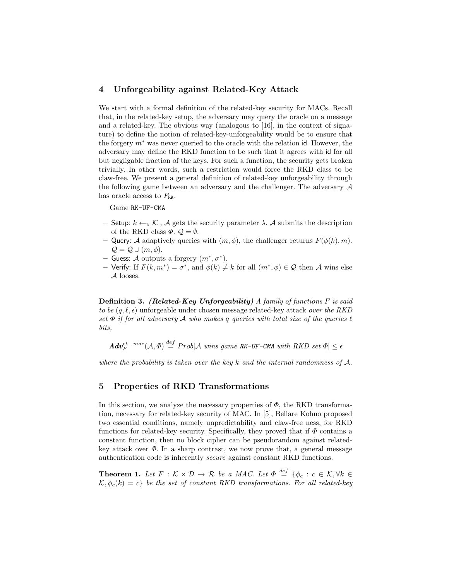## 4 Unforgeability against Related-Key Attack

We start with a formal definition of the related-key security for MACs. Recall that, in the related-key setup, the adversary may query the oracle on a message and a related-key. The obvious way (analogous to [16], in the context of signature) to define the notion of related-key-unforgeability would be to ensure that the forgery  $m^*$  was never queried to the oracle with the relation id. However, the adversary may define the RKD function to be such that it agrees with id for all but negligable fraction of the keys. For such a function, the security gets broken trivially. In other words, such a restriction would force the RKD class to be claw-free. We present a general definition of related-key unforgeability through the following game between an adversary and the challenger. The adversary A has oracle access to  $F_{\text{RK}}$ .

Game RK-UF-CMA

- Setup:  $k \leftarrow_R \mathcal{K}$ , A gets the security parameter  $\lambda$ . A submits the description of the RKD class  $\Phi$ .  $\mathcal{Q} = \emptyset$ .
- Query: A adaptively queries with  $(m, \phi)$ , the challenger returns  $F(\phi(k), m)$ .  $\mathcal{Q} = \mathcal{Q} \cup (m, \phi).$
- Guess: A outputs a forgery  $(m^*, \sigma^*)$ .
- Verify: If  $F(k, m^*) = \sigma^*$ , and  $\phi(k) \neq k$  for all  $(m^*, \phi) \in \mathcal{Q}$  then A wins else A looses.

**Definition 3.** (Related-Key Unforgeability) A family of functions  $F$  is said to be  $(q, \ell, \epsilon)$  unforgeable under chosen message related-key attack over the RKD set  $\Phi$  if for all adversary A who makes q queries with total size of the queries  $\ell$ bits,

 $\boldsymbol{Adv}_{F}^{k-mac}(\mathcal{A}, \boldsymbol{\Phi}) \stackrel{def}{=} \textit{Prob}[\mathcal{A} \textit{ wins game RK-UF-CMA with RKD set } \boldsymbol{\Phi}] \leq \epsilon$ 

where the probability is taken over the key  $k$  and the internal randomness of  $A$ .

# 5 Properties of RKD Transformations

In this section, we analyze the necessary properties of  $\Phi$ , the RKD transformation, necessary for related-key security of MAC. In [5], Bellare Kohno proposed two essential conditions, namely unpredictability and claw-free ness, for RKD functions for related-key security. Specifically, they proved that if  $\Phi$  contains a constant function, then no block cipher can be pseudorandom against relatedkey attack over  $\Phi$ . In a sharp contrast, we now prove that, a general message authentication code is inherently secure against constant RKD functions.

**Theorem 1.** Let  $F: K \times D \to \mathcal{R}$  be a MAC. Let  $\Phi \stackrel{def}{=} \{\phi_c: c \in \mathcal{K}, \forall k \in$  $\mathcal{K}, \phi_c(k) = c$  be the set of constant RKD transformations. For all related-key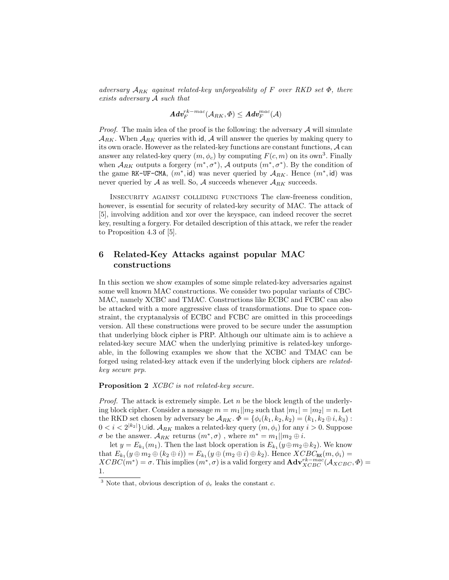adversary  $\mathcal{A}_{RK}$  against related-key unforgeability of F over RKD set  $\Phi$ , there exists adversary A such that

$$
\boldsymbol{Adv}_{F}^{rk-mac}(\mathcal{A}_{RK},\varPhi)\leq \boldsymbol{Adv}_{F}^{mac}(\mathcal{A})
$$

*Proof.* The main idea of the proof is the following: the adversary  $A$  will simulate  $\mathcal{A}_{RK}$ . When  $\mathcal{A}_{RK}$  queries with id, A will answer the queries by making query to its own oracle. However as the related-key functions are constant functions, A can answer any related-key query  $(m, \phi_c)$  by computing  $F(c, m)$  on its own<sup>3</sup>. Finally when  $A_{RK}$  outputs a forgery  $(m^*, \sigma^*)$ , A outputs  $(m^*, \sigma^*)$ . By the condition of the game RK-UF-CMA,  $(m^*, id)$  was never queried by  $\mathcal{A}_{RK}$ . Hence  $(m^*, id)$  was never queried by A as well. So, A succeeds whenever  $A_{RK}$  succeeds.

Insecurity against colliding functions The claw-freeness condition, however, is essential for security of related-key security of MAC. The attack of [5], involving addition and xor over the keyspace, can indeed recover the secret key, resulting a forgery. For detailed description of this attack, we refer the reader to Proposition 4.3 of [5].

# 6 Related-Key Attacks against popular MAC constructions

In this section we show examples of some simple related-key adversaries against some well known MAC constructions. We consider two popular variants of CBC-MAC, namely XCBC and TMAC. Constructions like ECBC and FCBC can also be attacked with a more aggressive class of transformations. Due to space constraint, the cryptanalysis of ECBC and FCBC are omitted in this proceedings version. All these constructions were proved to be secure under the assumption that underlying block cipher is PRP. Although our ultimate aim is to achieve a related-key secure MAC when the underlying primitive is related-key unforgeable, in the following examples we show that the XCBC and TMAC can be forged using related-key attack even if the underlying block ciphers are relatedkey secure prp.

Proposition 2 *XCBC* is not related-key secure.

*Proof.* The attack is extremely simple. Let n be the block length of the underlying block cipher. Consider a message  $m = m_1||m_2$  such that  $|m_1| = |m_2| = n$ . Let the RKD set chosen by adversary be  $A_{RK}$ .  $\Phi = {\phi_i(k_1, k_2, k_2) = (k_1, k_2 \oplus i, k_3)}$ :  $0 < i < 2^{|k_2|}\}$ Uid.  $\mathcal{A}_{RK}$  makes a related-key query  $(m, \phi_i)$  for any  $i > 0$ . Suppose  $\sigma$  be the answer.  $\mathcal{A}_{RK}$  returns  $(m^*, \sigma)$ , where  $m^* = m_1 || m_2 \oplus i$ .

let  $y = E_{k_1}(m_1)$ . Then the last block operation is  $E_{k_1}(y \oplus m_2 \oplus k_2)$ . We know that  $E_{k_1}(y \oplus m_2 \oplus (k_2 \oplus i)) = E_{k_1}(y \oplus (m_2 \oplus i) \oplus k_2)$ . Hence  $XCBC_{\text{RK}}(m, \phi_i) =$  $XCBC(m^*) = \sigma$ . This implies  $(m^*, \sigma)$  is a valid forgery and  $\mathbf{Adv}_{XCBC}^{rk-mac}(\mathcal{A}_{XCBC}, \Phi) =$ 1.

<sup>&</sup>lt;sup>3</sup> Note that, obvious description of  $\phi_c$  leaks the constant c.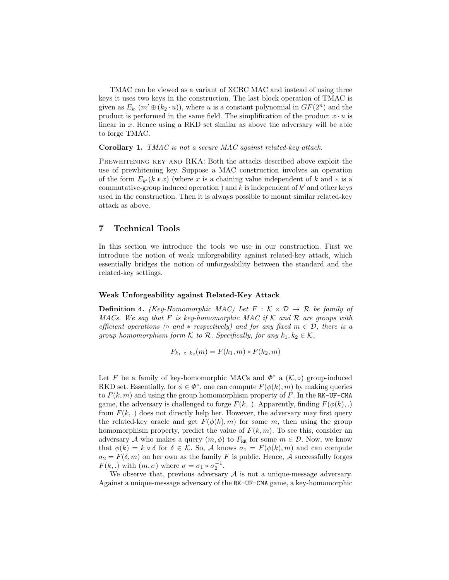TMAC can be viewed as a variant of XCBC MAC and instead of using three keys it uses two keys in the construction. The last block operation of TMAC is given as  $E_{k_1}(m' \oplus (k_2 \cdot u))$ , where u is a constant polynomial in  $GF(2^n)$  and the product is performed in the same field. The simplification of the product  $x \cdot u$  is linear in  $x$ . Hence using a RKD set similar as above the adversary will be able to forge TMAC.

#### Corollary 1. TMAC is not a secure MAC against related-key attack.

PREWHITENING KEY AND RKA: Both the attacks described above exploit the use of prewhitening key. Suppose a MAC construction involves an operation of the form  $E_{k}(k * x)$  (where x is a chaining value independent of k and  $*$  is a commutative-group induced operation ) and  $k$  is independent of  $k'$  and other keys used in the construction. Then it is always possible to mount similar related-key attack as above.

# 7 Technical Tools

In this section we introduce the tools we use in our construction. First we introduce the notion of weak unforgeability against related-key attack, which essentially bridges the notion of unforgeability between the standard and the related-key settings.

#### Weak Unforgeability against Related-Key Attack

**Definition 4.** (Key-Homomorphic MAC) Let  $F : K \times D \rightarrow \mathbb{R}$  be family of MACs. We say that F is key-homomorphic MAC if  $K$  and  $R$  are groups with efficient operations (⊙ and  $*$  respectively) and for any fixed  $m \in \mathcal{D}$ , there is a group homomorphism form K to R. Specifically, for any  $k_1, k_2 \in \mathcal{K}$ ,

$$
F_{k_1 \circ k_2}(m) = F(k_1, m) * F(k_2, m)
$$

Let F be a family of key-homomorphic MACs and  $\Phi^{\circ}$  a  $(\mathcal{K}, \circ)$  group-induced RKD set. Essentially, for  $\phi \in \Phi^{\circ}$ , one can compute  $F(\phi(k), m)$  by making queries to  $F(k, m)$  and using the group homomorphism property of F. In the RK-UF-CMA game, the adversary is challenged to forge  $F(k,.)$ . Apparently, finding  $F(\phi(k),.)$ from  $F(k,.)$  does not directly help her. However, the adversary may first query the related-key oracle and get  $F(\phi(k), m)$  for some m, then using the group homomorphism property, predict the value of  $F(k, m)$ . To see this, consider an adversary A who makes a query  $(m, \phi)$  to  $F_{\text{RK}}$  for some  $m \in \mathcal{D}$ . Now, we know that  $\phi(k) = k \circ \delta$  for  $\delta \in \mathcal{K}$ . So, A knows  $\sigma_1 = F(\phi(k), m)$  and can compute  $\sigma_2 = F(\delta, m)$  on her own as the family F is public. Hence, A successfully forges  $F(k,.)$  with  $(m,\sigma)$  where  $\sigma = \sigma_1 * \sigma_2^{-1}$ .

We observe that, previous adversary  $A$  is not a unique-message adversary. Against a unique-message adversary of the RK-UF-CMA game, a key-homomorphic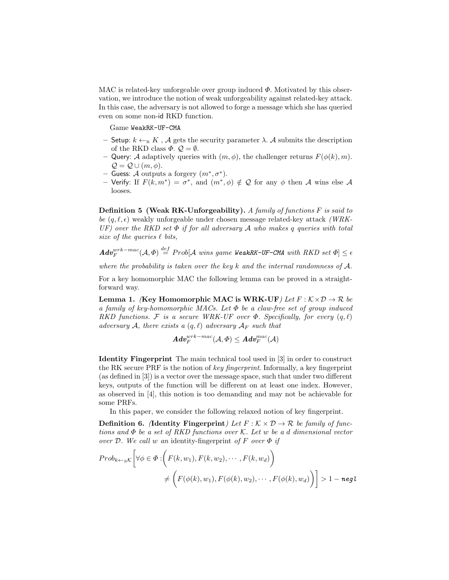MAC is related-key unforgeable over group induced  $\Phi$ . Motivated by this observation, we introduce the notion of weak unforgeability against related-key attack. In this case, the adversary is not allowed to forge a message which she has queried even on some non-id RKD function.

Game WeakRK-UF-CMA

- Setup:  $k \leftarrow_R K$ , A gets the security parameter  $\lambda$ . A submits the description of the RKD class  $\Phi$ .  $\mathcal{Q} = \emptyset$ .
- Query: A adaptively queries with  $(m, \phi)$ , the challenger returns  $F(\phi(k), m)$ .  $\mathcal{Q} = \mathcal{Q} \cup (m, \phi).$
- Guess: A outputs a forgery  $(m^*, \sigma^*)$ .
- Verify: If  $F(k, m^*) = \sigma^*$ , and  $(m^*, \phi) \notin \mathcal{Q}$  for any φ then A wins else A looses.

**Definition 5 (Weak RK-Unforgeability).** A family of functions  $F$  is said to be  $(q, \ell, \epsilon)$  weakly unforgeable under chosen message related-key attack (WRK-UF) over the RKD set  $\Phi$  if for all adversary A who makes q queries with total size of the queries  $\ell$  bits,

 $\boldsymbol{Adv}_{F}^{wrk-mac}(\mathcal{A},\varPhi)\overset{def}{=} Prob[\mathcal{A} \,\, wins \,\,game \,\,WeakRK-UF-CMA \,\,with \,\,RKD \,\,set \varPhi] \leq \epsilon$ 

where the probability is taken over the key  $k$  and the internal randomness of  $A$ .

For a key homomorphic MAC the following lemma can be proved in a straightforward way.

Lemma 1. (Key Homomorphic MAC is WRK-UF) Let  $F : K \times D \to \mathcal{R}$  be a family of key-homomorphic MACs. Let  $\Phi$  be a claw-free set of group induced RKD functions. F is a secure WRK-UF over  $\Phi$ . Specifically, for every  $(q, \ell)$ adversary A, there exists a  $(q, \ell)$  adversary  $A_F$  such that

$$
\boldsymbol{Adv}_{F}^{wrk-mac}(\mathcal{A},\varPhi)\leq \boldsymbol{Adv}_{F}^{mac}(\mathcal{A})
$$

Identity Fingerprint The main technical tool used in [3] in order to construct the RK secure PRF is the notion of key fingerprint. Informally, a key fingerprint (as defined in [3]) is a vector over the message space, such that under two different keys, outputs of the function will be different on at least one index. However, as observed in [4], this notion is too demanding and may not be achievable for some PRFs.

In this paper, we consider the following relaxed notion of key fingerprint.

**Definition 6.** (Identity Fingerprint) Let  $F : \mathcal{K} \times \mathcal{D} \to \mathcal{R}$  be family of functions and  $\Phi$  be a set of RKD functions over K. Let w be a d dimensional vector over D. We call w an identity-fingerprint of F over  $\Phi$  if

$$
Prob_{k\leftarrow R}K\left[\forall\phi\in\Phi:\left(F(k,w_1),F(k,w_2),\cdots,F(k,w_d)\right)\right]
$$

$$
\neq \left(F(\phi(k),w_1),F(\phi(k),w_2),\cdots,F(\phi(k),w_d)\right)\right]>1-neg
$$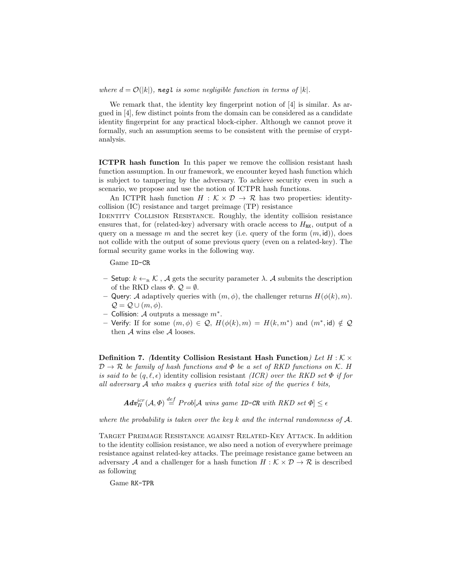where  $d = \mathcal{O}(|k|)$ , negl is some negligible function in terms of |k|.

We remark that, the identity key fingerprint notion of [4] is similar. As argued in [4], few distinct points from the domain can be considered as a candidate identity fingerprint for any practical block-cipher. Although we cannot prove it formally, such an assumption seems to be consistent with the premise of cryptanalysis.

ICTPR hash function In this paper we remove the collision resistant hash function assumption. In our framework, we encounter keyed hash function which is subject to tampering by the adversary. To achieve security even in such a scenario, we propose and use the notion of ICTPR hash functions.

An ICTPR hash function  $H : \mathcal{K} \times \mathcal{D} \to \mathcal{R}$  has two properties: identitycollision (IC) resistance and target preimage (TP) resistance

IDENTITY COLLISION RESISTANCE. Roughly, the identity collision resistance ensures that, for (related-key) adversary with oracle access to  $H_{\text{RK}}$ , output of a query on a message m and the secret key (i.e. query of the form  $(m, id)$ ), does not collide with the output of some previous query (even on a related-key). The formal security game works in the following way.

Game ID-CR

- Setup:  $k \leftarrow_R \mathcal{K}$ , A gets the security parameter  $\lambda$ . A submits the description of the RKD class  $\Phi$ .  $\mathcal{Q} = \emptyset$ .
- Query: A adaptively queries with  $(m, \phi)$ , the challenger returns  $H(\phi(k), m)$ .  $\mathcal{Q} = \mathcal{Q} \cup (m, \phi).$
- Collision:  $A$  outputs a message  $m^*$ .
- Verify: If for some  $(m, \phi) \in \mathcal{Q}$ ,  $H(\phi(k), m) = H(k, m^*)$  and  $(m^*, \text{id}) \notin \mathcal{Q}$ then  $A$  wins else  $A$  looses.

Definition 7. (Identity Collision Resistant Hash Function) Let  $H : \mathcal{K} \times$  $\mathcal{D} \to \mathcal{R}$  be family of hash functions and  $\Phi$  be a set of RKD functions on K. H is said to be  $(q, \ell, \epsilon)$  identity collision resistant (ICR) over the RKD set  $\Phi$  if for all adversary A who makes q queries with total size of the queries  $\ell$  bits,

 $\boldsymbol{Adv}^{icr}_H(\mathcal{A}, \Phi) \stackrel{def}{=} \text{Prob}[\mathcal{A} \text{ wins game ID-CR with RKD set } \Phi] \leq \epsilon$ 

where the probability is taken over the key  $k$  and the internal randomness of  $A$ .

Target Preimage Resistance against Related-Key Attack. In addition to the identity collision resistance, we also need a notion of everywhere preimage resistance against related-key attacks. The preimage resistance game between an adversary A and a challenger for a hash function  $H : \mathcal{K} \times \mathcal{D} \to \mathcal{R}$  is described as following

Game RK-TPR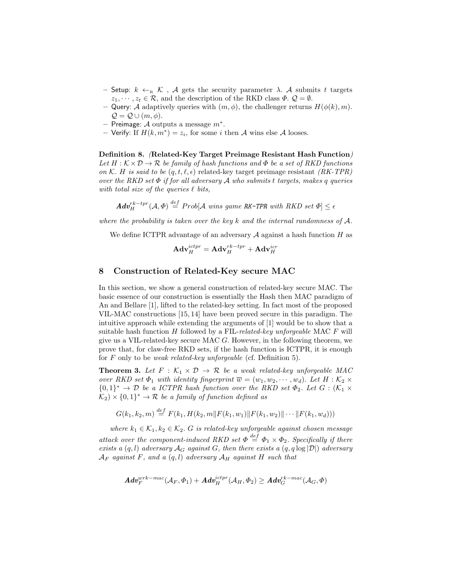- Setup:  $k \leftarrow_R \mathcal{K}$ , A gets the security parameter  $\lambda$ . A submits t targets  $z_1, \dots, z_t \in \mathcal{R}$ , and the description of the RKD class  $\Phi$ .  $\mathcal{Q} = \emptyset$ .
- Query: A adaptively queries with  $(m, \phi)$ , the challenger returns  $H(\phi(k), m)$ .  $\mathcal{Q} = \mathcal{Q} \cup (m, \phi).$
- Preimage:  $\hat{A}$  outputs a message  $m^*$ .
- Verify: If  $H(k, m^*) = z_i$ , for some *i* then A wins else A looses.

Definition 8. (Related-Key Target Preimage Resistant Hash Function) Let  $H : \mathcal{K} \times \mathcal{D} \to \mathcal{R}$  be family of hash functions and  $\Phi$  be a set of RKD functions on K. H is said to be  $(q, t, \ell, \epsilon)$  related-key target preimage resistant  $(RK-TPR)$ over the RKD set  $\Phi$  if for all adversary  $\mathcal A$  who submits t targets, makes q queries with total size of the queries  $\ell$  bits,

 $\boldsymbol{Adv}^{k-tpr}_H(\mathcal{A}, \Phi) \stackrel{def}{=} Prob[\mathcal{A} \text{ wins game RK-TPR with RKD set } \Phi] \leq \epsilon$ 

where the probability is taken over the key  $k$  and the internal randomness of  $A$ .

We define ICTPR advantage of an adversary  $A$  against a hash function  $H$  as

$$
\mathbf{Adv}^{ictpr}_H = \mathbf{Adv}^{rk-tpr}_H + \mathbf{Adv}^{icr}_H
$$

## 8 Construction of Related-Key secure MAC

In this section, we show a general construction of related-key secure MAC. The basic essence of our construction is essentially the Hash then MAC paradigm of An and Bellare [1], lifted to the related-key setting. In fact most of the proposed VIL-MAC constructions [15, 14] have been proved secure in this paradigm. The intuitive approach while extending the arguments of [1] would be to show that a suitable hash function H followed by a FIL-related-key unforgeable MAC  $F$  will give us a VIL-related-key secure MAC G. However, in the following theorem, we prove that, for claw-free RKD sets, if the hash function is ICTPR, it is enough for F only to be weak related-key unforgeable (cf. Definition 5).

**Theorem 3.** Let  $F : \mathcal{K}_1 \times \mathcal{D} \rightarrow \mathcal{R}$  be a weak related-key unforgeable MAC over RKD set  $\Phi_1$  with identity fingerprint  $\overline{w} = (w_1, w_2, \dots, w_d)$ . Let  $H : \mathcal{K}_2 \times$  ${0,1}^* \rightarrow \mathcal{D}$  be a ICTPR hash function over the RKD set  $\Phi_2$ . Let  $G : (\mathcal{K}_1 \times$  $\mathcal{K}_2) \times \{0,1\}^* \to \mathcal{R}$  be a family of function defined as

 $G(k_1, k_2, m) \stackrel{def}{=} F(k_1, H(k_2, m \| F(k_1, w_1) \| F(k_1, w_2) \| \cdots \| F(k_1, w_d)))$ 

where  $k_1 \in \mathcal{K}_1, k_2 \in \mathcal{K}_2$ . G is related-key unforgeable against chosen message attack over the component-induced RKD set  $\Phi \stackrel{def}{=} \Phi_1 \times \Phi_2$ . Specifically if there exists a  $(q, l)$  adversary  $\mathcal{A}_G$  against G, then there exists a  $(q, q \log |\mathcal{D}|)$  adversary  $\mathcal{A}_F$  against F, and a  $(q, l)$  adversary  $\mathcal{A}_H$  against H such that

$$
\boldsymbol{Adv}_{F}^{wrk-mac}(\mathcal{A}_{F},\varPhi_{1})+\boldsymbol{Adv}_{H}^{ictpr}(\mathcal{A}_{H},\varPhi_{2})\geq \boldsymbol{Adv}_{G}^{rk-mac}(\mathcal{A}_{G},\varPhi)
$$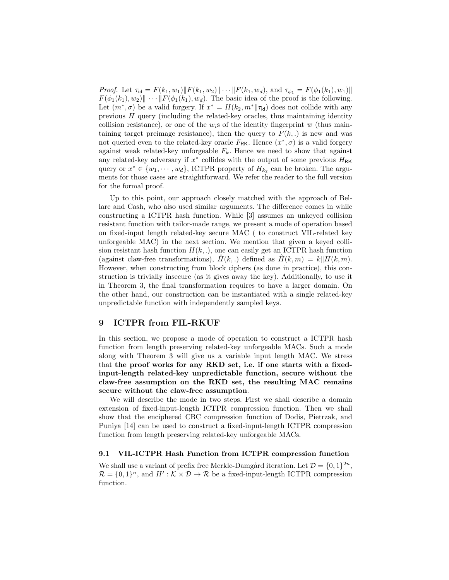*Proof.* Let  $\tau_{\text{id}} = F(k_1, w_1) || F(k_1, w_2) || \cdots || F(k_1, w_d)$ , and  $\tau_{\phi_1} = F(\phi_1(k_1), w_1) ||$  $F(\phi_1(k_1), w_2)$   $\cdots$   $\|F(\phi_1(k_1), w_d)$ . The basic idea of the proof is the following. Let  $(m^*, \sigma)$  be a valid forgery. If  $x^* = H(k_2, m^* \| \tau_{\text{id}})$  does not collide with any previous  $H$  query (including the related-key oracles, thus maintaining identity collision resistance), or one of the  $w_i$ s of the identity fingerprint  $\overline{w}$  (thus maintaining target preimage resistance), then the query to  $F(k,.)$  is new and was not queried even to the related-key oracle  $F_{\mathsf{RK}}$ . Hence  $(x^*, \sigma)$  is a valid forgery against weak related-key unforgeable  $F_k$ . Hence we need to show that against any related-key adversary if  $x^*$  collides with the output of some previous  $H_{\text{RK}}$ query or  $x^* \in \{w_1, \dots, w_d\}$ , ICTPR property of  $H_{k_2}$  can be broken. The arguments for those cases are straightforward. We refer the reader to the full version for the formal proof.

Up to this point, our approach closely matched with the approach of Bellare and Cash, who also used similar arguments. The difference comes in while constructing a ICTPR hash function. While [3] assumes an unkeyed collision resistant function with tailor-made range, we present a mode of operation based on fixed-input length related-key secure MAC ( to construct VIL-related key unforgeable MAC) in the next section. We mention that given a keyed collision resistant hash function  $H(k, \cdot)$ , one can easily get an ICTPR hash function (against claw-free transformations),  $\hat{H}(k,.)$  defined as  $\hat{H}(k,m) = k||H(k,m).$ However, when constructing from block ciphers (as done in practice), this construction is trivially insecure (as it gives away the key). Additionally, to use it in Theorem 3, the final transformation requires to have a larger domain. On the other hand, our construction can be instantiated with a single related-key unpredictable function with independently sampled keys.

## 9 ICTPR from FIL-RKUF

In this section, we propose a mode of operation to construct a ICTPR hash function from length preserving related-key unforgeable MACs. Such a mode along with Theorem 3 will give us a variable input length MAC. We stress that the proof works for any RKD set, i.e. if one starts with a fixedinput-length related-key unpredictable function, secure without the claw-free assumption on the RKD set, the resulting MAC remains secure without the claw-free assumption.

We will describe the mode in two steps. First we shall describe a domain extension of fixed-input-length ICTPR compression function. Then we shall show that the enciphered CBC compression function of Dodis, Pietrzak, and Puniya [14] can be used to construct a fixed-input-length ICTPR compression function from length preserving related-key unforgeable MACs.

#### 9.1 VIL-ICTPR Hash Function from ICTPR compression function

We shall use a variant of prefix free Merkle-Damgård iteration. Let  $\mathcal{D} = \{0, 1\}^{2n}$ ,  $\mathcal{R} = \{0,1\}^n$ , and  $H': \mathcal{K} \times \mathcal{D} \to \mathcal{R}$  be a fixed-input-length ICTPR compression function.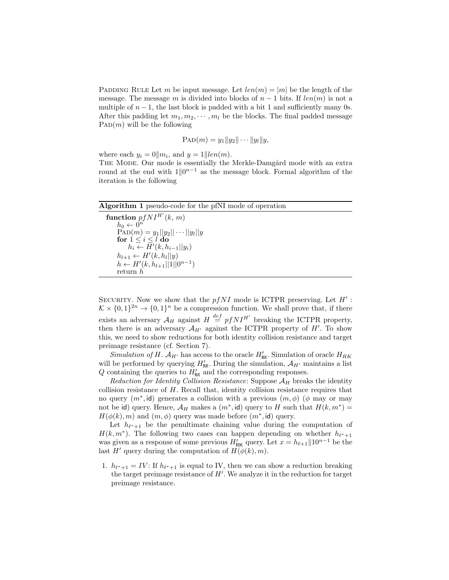PADDING RULE Let m be input message. Let  $len(m) = |m|$  be the length of the message. The message m is divided into blocks of  $n-1$  bits. If  $len(m)$  is not a multiple of  $n-1$ , the last block is padded with a bit 1 and sufficiently many 0s. After this padding let  $m_1, m_2, \cdots, m_l$  be the blocks. The final padded message  $PAD(m)$  will be the following

$$
PAD(m) = y_1||y_2|| \cdots ||y_l||y,
$$

where each  $y_i = 0||m_i$ , and  $y = 1||len(m)$ .

THE MODE. Our mode is essentially the Merkle-Damgård mode with an extra round at the end with  $1||0^{n-1}$  as the message block. Formal algorithm of the iteration is the following

| <b>Algorithm 1</b> pseudo-code for the pfNI mode of operation |
|---------------------------------------------------------------|
| function $pfNI^{H'}(k, m)$                                    |
| $h_0 \leftarrow 0^n$                                          |
| $PAD(m) = y_1  y_2   \cdots   y_l  y$                         |
| for $1 \leq i \leq l$ do                                      |
| $h_i \leftarrow H'(k, h_{i-1}  y_i)$                          |
| $h_{l+1} \leftarrow H'(k, h_l  y)$                            |
| $h \leftarrow H'(k, h_{l+1}  1  0^{n-1})$                     |
| return $h$                                                    |

SECURITY. Now we show that the  $pfNI$  mode is ICTPR preserving. Let  $H'$ :  $\mathcal{K} \times \{0,1\}^{2n} \to \{0,1\}^n$  be a compression function. We shall prove that, if there exists an adversary  $\mathcal{A}_H$  against  $H \stackrel{def}{=} pf N I^{H'}$  breaking the ICTPR property, then there is an adversary  $\mathcal{A}_{H'}$  against the ICTPR property of  $H'$ . To show this, we need to show reductions for both identity collision resistance and target preimage resistance (cf. Section 7).

Simulation of H.  $\mathcal{A}_{H'}$  has access to the oracle  $H'_{\text{RK}}$ . Simulation of oracle  $H_{RK}$ will be performed by querying  $H'_{\text{RK}}$ . During the simulation,  $\mathcal{A}_{H'}$  maintains a list  $Q$  containing the queries to  $H'_{\rm RK}$  and the corresponding responses.

Reduction for Identity Collision Resistance: Suppose  $A_H$  breaks the identity collision resistance of H. Recall that, identity collision resistance requires that no query  $(m^*, id)$  generates a collision with a previous  $(m, \phi)$  ( $\phi$  may or may not be id) query. Hence,  $\mathcal{A}_H$  makes a  $(m^*, \text{id})$  query to H such that  $H(k, m^*) =$  $H(\phi(k), m)$  and  $(m, \phi)$  query was made before  $(m^*, id)$  query.

Let  $h_{\ell^*+1}$  be the penultimate chaining value during the computation of  $H(k, m^*)$ . The following two cases can happen depending on whether  $h_{\ell^*+1}$ was given as a response of some previous  $H'_{\mathsf{RK}}$  query. Let  $x = h_{\ell+1} || 10^{n-1}$  be the last H' query during the computation of  $H(\phi(k), m)$ .

1.  $h_{\ell^*+1} = IV$ : If  $h_{\ell^*+1}$  is equal to IV, then we can show a reduction breaking the target preimage resistance of  $H'$ . We analyze it in the reduction for target preimage resistance.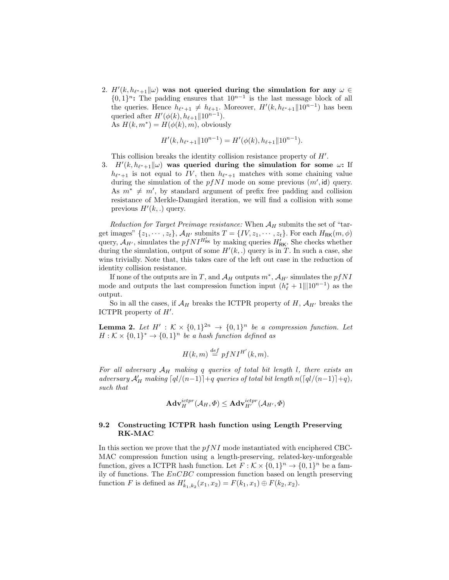2.  $H'(k, h_{\ell^*+1}||\omega)$  was not queried during the simulation for any  $\omega \in$ {0,1}<sup>n</sup>: The padding ensures that 10<sup>n-1</sup> is the last message block of all the queries. Hence  $h_{\ell^*+1} \neq h_{\ell+1}$ . Moreover,  $H'(k, h_{\ell^*+1} \| 10^{n-1})$  has been queried after  $H'(\phi(k), h_{\ell+1} || 10^{n-1}).$ As  $H(k, m^*) = H(\phi(k), m)$ , obviously

$$
H'(k, h_{\ell^*+1} \| 10^{n-1}) = H'(\phi(k), h_{\ell+1} \| 10^{n-1}).
$$

This collision breaks the identity collision resistance property of  $H'$ .

3.  $H'(k, h_{\ell^*+1}||\omega)$  was queried during the simulation for some  $\omega$ : If  $h_{\ell^*+1}$  is not equal to IV, then  $h_{\ell^*+1}$  matches with some chaining value during the simulation of the  $pfNI$  mode on some previous  $(m', id)$  query. As  $m^* \neq m'$ , by standard argument of prefix free padding and collision resistance of Merkle-Damgård iteration, we will find a collision with some previous  $H'(k,.)$  query.

Reduction for Target Preimage resistance: When  $A_H$  submits the set of "target images"  $\{z_1, \dots, z_t\}$ ,  $\mathcal{A}_{H'}$  submits  $T = \{IV, z_1, \dots, z_t\}$ . For each  $H_{\mathsf{RK}}(m, \phi)$ query,  $\mathcal{A}_{H'}$ , simulates the  $pfNI^{H'_{\mathsf{RK}}}$  by making queries  $H'_{\mathsf{RK}}$ . She checks whether during the simulation, output of some  $H'(k,.)$  query is in T. In such a case, she wins trivially. Note that, this takes care of the left out case in the reduction of identity collision resistance.

If none of the outputs are in T, and  $\mathcal{A}_H$  outputs  $m^*$ ,  $\mathcal{A}_{H'}$  simulates the  $pfNI$ mode and outputs the last compression function input  $(h_{\ell}^* + 1 \Vert | 10^{n-1})$  as the output.

So in all the cases, if  $\mathcal{A}_H$  breaks the ICTPR property of H,  $\mathcal{A}_{H'}$  breaks the ICTPR property of  $H'$ .

**Lemma 2.** Let  $H' : \mathcal{K} \times \{0,1\}^{2n} \rightarrow \{0,1\}^n$  be a compression function. Let  $H: \mathcal{K} \times \{0,1\}^* \to \{0,1\}^n$  be a hash function defined as

$$
H(k,m) \stackrel{def}{=} pfNI^{H'}(k,m).
$$

For all adversary  $A_H$  making q queries of total bit length l, there exists an  $adversary$   $\mathcal{A}'_H$  making  $\lceil q l/(n-1)\rceil+q$  queries of total bit length  $n(\lceil q l/(n-1)\rceil+q),$ such that

$$
\mathbf{Adv}^{ictpr}_H(\mathcal{A}_H, \varPhi) \leq \mathbf{Adv}^{ictpr}_{H'}(\mathcal{A}_{H'}, \varPhi)
$$

#### 9.2 Constructing ICTPR hash function using Length Preserving RK-MAC

In this section we prove that the  $p f N I$  mode instantiated with enciphered CBC-MAC compression function using a length-preserving, related-key-unforgeable function, gives a ICTPR hash function. Let  $F : \mathcal{K} \times \{0,1\}^n \to \{0,1\}^n$  be a family of functions. The EnCBC compression function based on length preserving function F is defined as  $H'_{k_1,k_2}(x_1,x_2) = F(k_1,x_1) \oplus F(k_2,x_2)$ .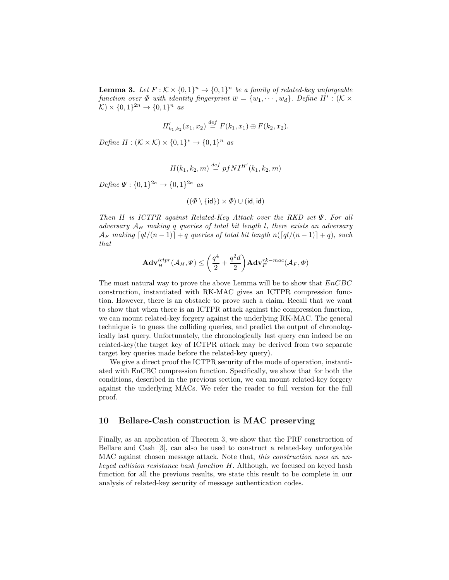**Lemma 3.** Let  $F: K \times \{0,1\}^n \to \{0,1\}^n$  be a family of related-key unforgeable function over  $\Phi$  with identity fingerprint  $\overline{w} = \{w_1, \dots, w_d\}$ . Define  $H' : (\mathcal{K} \times$  $\mathcal{K}) \times \{0,1\}^{2n} \to \{0,1\}^n$  as

$$
H'_{k_1,k_2}(x_1,x_2) \stackrel{def}{=} F(k_1,x_1) \oplus F(k_2,x_2).
$$

Define  $H: (\mathcal{K} \times \mathcal{K}) \times \{0,1\}^* \to \{0,1\}^n$  as

$$
H(k_1, k_2, m) \stackrel{def}{=} pfNI^{H'}(k_1, k_2, m)
$$

Define  $\Psi : \{0,1\}^{2\kappa} \to \{0,1\}^{2\kappa}$  as

$$
((\varPhi \setminus \{\mathsf{id}\}) \times \varPhi) \cup (\mathsf{id}, \mathsf{id})
$$

Then H is ICTPR against Related-Key Attack over the RKD set  $\Psi$ . For all adversary  $A_H$  making q queries of total bit length l, there exists an adversary  $\mathcal{A}_F$  making  $\lceil q l/(n-1)\rceil + q$  queries of total bit length  $n(\lceil q l/(n-1)\rceil + q)$ , such that

$$
\mathbf{Adv}^{ictpr}_H(\mathcal{A}_H,\mathit{\Psi})\leq \bigg(\frac{q^4}{2}+\frac{q^2d}{2}\bigg)\mathbf{Adv}^{rk-mac}_F(\mathcal{A}_F,\mathit{\Phi})
$$

The most natural way to prove the above Lemma will be to show that EnCBC construction, instantiated with RK-MAC gives an ICTPR compression function. However, there is an obstacle to prove such a claim. Recall that we want to show that when there is an ICTPR attack against the compression function, we can mount related-key forgery against the underlying RK-MAC. The general technique is to guess the colliding queries, and predict the output of chronologically last query. Unfortunately, the chronologically last query can indeed be on related-key(the target key of ICTPR attack may be derived from two separate target key queries made before the related-key query).

We give a direct proof the ICTPR security of the mode of operation, instantiated with EnCBC compression function. Specifically, we show that for both the conditions, described in the previous section, we can mount related-key forgery against the underlying MACs. We refer the reader to full version for the full proof.

## 10 Bellare-Cash construction is MAC preserving

Finally, as an application of Theorem 3, we show that the PRF construction of Bellare and Cash [3], can also be used to construct a related-key unforgeable MAC against chosen message attack. Note that, this construction uses an unkeyed collision resistance hash function H. Although, we focused on keyed hash function for all the previous results, we state this result to be complete in our analysis of related-key security of message authentication codes.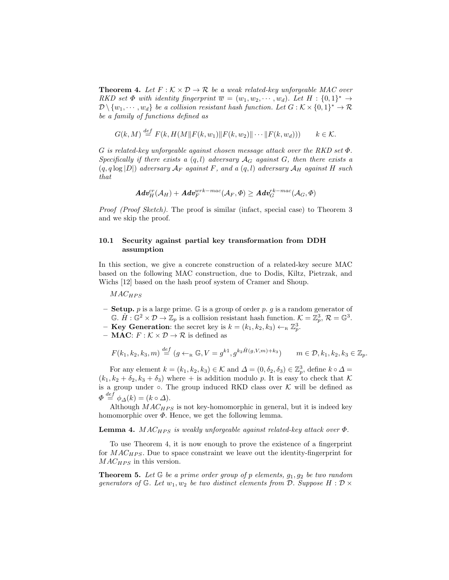**Theorem 4.** Let  $F: K \times D \to \mathcal{R}$  be a weak related-key unforgeable MAC over RKD set  $\Phi$  with identity fingerprint  $\overline{w} = (w_1, w_2, \dots, w_d)$ . Let  $H : \{0,1\}^* \to$  $\mathcal{D}\setminus\{w_1,\cdots,w_d\}$  be a collision resistant hash function. Let  $G:\mathcal{K}\times\{0,1\}^*\to\mathcal{R}$ be a family of functions defined as

$$
G(k, M) \stackrel{def}{=} F(k, H(M||F(k, w_1)||F(k, w_2)||\cdots||F(k, w_d))) \qquad k \in \mathcal{K}.
$$

G is related-key unforgeable against chosen message attack over the RKD set Φ. Specifically if there exists a  $(q, l)$  adversary  $\mathcal{A}_G$  against G, then there exists a  $(q, q \log |D|)$  adversary  $\mathcal{A}_F$  against F, and a  $(q, l)$  adversary  $\mathcal{A}_H$  against H such that

$$
\boldsymbol{Adv}_{H}^{cr}(\mathcal{A}_{H}) + \boldsymbol{Adv}_{F}^{wrk-mac}(\mathcal{A}_{F}, \varPhi) \geq \boldsymbol{Adv}_{G}^{rk-mac}(\mathcal{A}_{G}, \varPhi)
$$

Proof (Proof Sketch). The proof is similar (infact, special case) to Theorem 3 and we skip the proof.

## 10.1 Security against partial key transformation from DDH assumption

In this section, we give a concrete construction of a related-key secure MAC based on the following MAC construction, due to Dodis, Kiltz, Pietrzak, and Wichs [12] based on the hash proof system of Cramer and Shoup.

 $MAC_{HPS}$ 

- **Setup.** p is a large prime. G is a group of order p. g is a random generator of  $\mathbb{G}$ .  $\hat{H}: \mathbb{G}^2 \times \mathcal{D} \to \mathbb{Z}_p$  is a collision resistant hash function.  $\mathcal{K} = \mathbb{Z}_p^3$ ,  $\mathcal{R} = \mathbb{G}^3$ .
- Key Generation: the secret key is  $k = (k_1, k_2, k_3) \leftarrow_R \mathbb{Z}_p^3$ .
- **MAC**:  $F : \mathcal{K} \times \mathcal{D} \to \mathcal{R}$  is defined as

$$
F(k_1, k_2, k_3, m) \stackrel{def}{=} (g \leftarrow_R \mathbb{G}, V = g^{k_1}, g^{k_2 \hat{H}(g, V, m) + k_3}) \qquad m \in \mathcal{D}, k_1, k_2, k_3 \in \mathbb{Z}_p.
$$

For any element  $k = (k_1, k_2, k_3) \in \mathcal{K}$  and  $\Delta = (0, \delta_2, \delta_3) \in \mathbb{Z}_p^3$ , define  $k \circ \Delta =$  $(k_1, k_2 + \delta_2, k_3 + \delta_3)$  where  $+$  is addition modulo p. It is easy to check that K is a group under  $\circ$ . The group induced RKD class over  $K$  will be defined as  $\Phi \stackrel{def}{=} \phi_{\Delta}(k) = (k \circ \Delta).$ 

Although  $MAC_{HPS}$  is not key-homomorphic in general, but it is indeed key homomorphic over  $\Phi$ . Hence, we get the following lemma.

**Lemma 4.**  $MAC_{HPS}$  is weakly unforgeable against related-key attack over  $\Phi$ .

To use Theorem 4, it is now enough to prove the existence of a fingerprint for  $MAC_{HPS}$ . Due to space constraint we leave out the identity-fingerprint for  $MAC_{HPS}$  in this version.

**Theorem 5.** Let  $G$  be a prime order group of p elements,  $g_1, g_2$  be two random generators of  $\mathbb{G}$ . Let  $w_1, w_2$  be two distinct elements from  $\mathcal{D}$ . Suppose  $H : \mathcal{D} \times$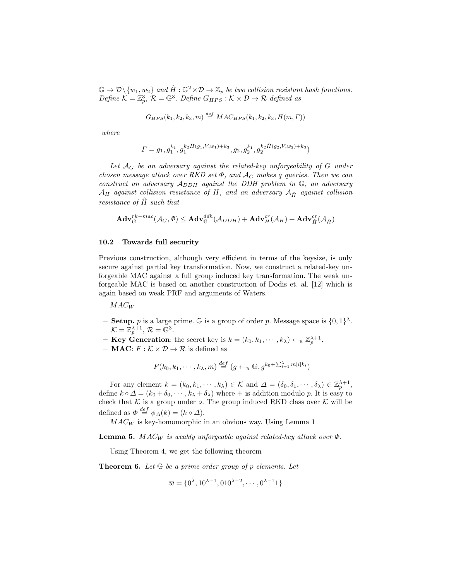$\mathbb{G} \to \mathcal{D} \setminus \{w_1, w_2\}$  and  $\hat{H} : \mathbb{G}^2 \times \mathcal{D} \to \mathbb{Z}_p$  be two collision resistant hash functions. Define  $\mathcal{K} = \mathbb{Z}_p^3$ ,  $\mathcal{R} = \mathbb{G}^3$ . Define  $G_{HPS}: \mathcal{K} \times \mathcal{D} \to \mathcal{R}$  defined as

$$
G_{HPS}(k_1, k_2, k_3, m) \stackrel{def}{=} MAC_{HPS}(k_1, k_2, k_3, H(m, \Gamma))
$$

where

$$
\Gamma = g_1, g_1^{k_1}, g_1^{k_2 \hat{H}(g_1, V, w_1) + k_3}, g_2, g_2^{k_1}, g_2^{k_2 \hat{H}(g_2, V, w_2) + k_3})
$$

Let  $A_G$  be an adversary against the related-key unforgeability of G under chosen message attack over RKD set  $\Phi$ , and  $\mathcal{A}_G$  makes q queries. Then we can construct an adversary  $A_{DDH}$  against the DDH problem in  $\mathbb{G}$ , an adversary  $\mathcal{A}_H$  against collision resistance of H, and an adversary  $\mathcal{A}_{\hat{H}}$  against collision resistance of  $\hat{H}$  such that

$$
\mathbf{Adv}^{rk-mac}_G(\mathcal{A}_G, \Phi) \leq \mathbf{Adv}^{ddh}_\mathbb{G}(\mathcal{A}_{DDH}) + \mathbf{Adv}^{cr}_H(\mathcal{A}_H) + \mathbf{Adv}^{cr}_{\hat{H}}(\mathcal{A}_{\hat{H}})
$$

#### 10.2 Towards full security

Previous construction, although very efficient in terms of the keysize, is only secure against partial key transformation. Now, we construct a related-key unforgeable MAC against a full group induced key transformation. The weak unforgeable MAC is based on another construction of Dodis et. al. [12] which is again based on weak PRF and arguments of Waters.

 $MAC_W$ 

- Setup. *p* is a large prime. G is a group of order *p*. Message space is  $\{0,1\}^{\lambda}$ .  $\mathcal{K}=\mathbb{Z}_p^{\lambda+1},\,\mathcal{R}=\tilde{\mathbb{G}}^3.$
- **Key Generation**: the secret key is  $k = (k_0, k_1, \dots, k_\lambda) \leftarrow_R \mathbb{Z}_p^{\lambda+1}$ .
- **MAC**:  $F : \mathcal{K} \times \mathcal{D} \to \mathcal{R}$  is defined as

$$
F(k_0, k_1, \cdots, k_\lambda, m) \stackrel{def}{=} (g \leftarrow_R \mathbb{G}, g^{k_0 + \sum_{i=1}^\lambda m[i]k_i})
$$

For any element  $k = (k_0, k_1, \dots, k_\lambda) \in \mathcal{K}$  and  $\Delta = (\delta_0, \delta_1, \dots, \delta_\lambda) \in \mathbb{Z}_p^{\lambda+1}$ , define  $k \circ \Delta = (k_0 + \delta_0, \dots, k_\lambda + \delta_\lambda)$  where  $+$  is addition modulo p. It is easy to check that K is a group under  $\circ$ . The group induced RKD class over K will be defined as  $\Phi \stackrel{def}{=} \phi_{\Delta}(k) = (k \circ \Delta).$ 

 $MAC_W$  is key-homomorphic in an obvious way. Using Lemma 1

**Lemma 5.** MAC<sub>W</sub> is weakly unforgeable against related-key attack over  $\Phi$ .

Using Theorem 4, we get the following theorem

**Theorem 6.** Let  $G$  be a prime order group of p elements. Let

$$
\overline{w} = \{0^{\lambda}, 10^{\lambda - 1}, 010^{\lambda - 2}, \cdots, 0^{\lambda - 1}1\}
$$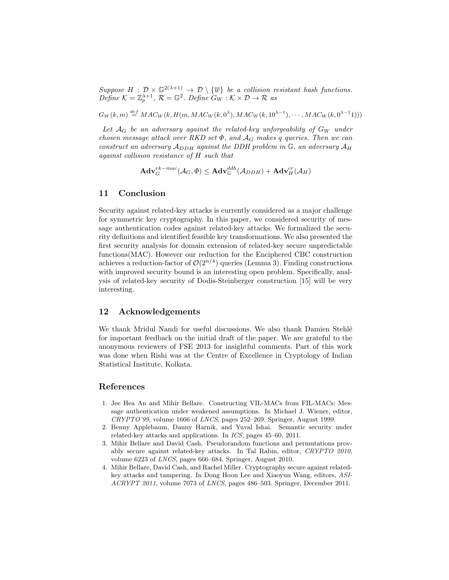Suppose  $H : \mathcal{D} \times \mathbb{G}^{2(\lambda+1)} \to \mathcal{D} \setminus {\overline{w}}$  be a collision resistant hash functions.  $\hat{Define\,} \mathcal{K} = \mathbb{Z}_p^{\lambda+1}, \mathcal{R} = \mathbb{G}^2.$  Define  $\hat{G}_W : \mathcal{K} \times \mathcal{D} \to \mathcal{R}$  as

 $G_W(k,m) \stackrel{def}{=} MAC_W(k, H(m, MAC_W(k, 0^{\lambda}), MAC_W(k, 10^{\lambda-1}), \cdots, MAC_W(k, 0^{\lambda-1})))$ 

Let  $\mathcal{A}_G$  be an adversary against the related-key unforgeability of  $G_W$  under chosen message attack over RKD set  $\Phi$ , and  $\mathcal{A}_G$  makes q queries. Then we can construct an adversary  $\mathcal{A}_{DDH}$  against the DDH problem in  $\mathbb{G}$ , an adversary  $\mathcal{A}_H$ against collision resistance of H such that

$$
\mathbf{Adv}^{rk-mac}_G(\mathcal{A}_G, \varPhi) \leq \mathbf{Adv}^{ddh}_\mathbb{G}(\mathcal{A}_{DDH}) + \mathbf{Adv}^{cr}_H(\mathcal{A}_H)
$$

# 11 Conclusion

Security against related-key attacks is currently considered as a major challenge for symmetric key cryptography. In this paper, we considered security of message authentication codes against related-key attacks. We formalized the security definitions and identified feasible key transformations. We also presented the first security analysis for domain extension of related-key secure unpredictable functions(MAC). However our reduction for the Enciphered CBC construction achieves a reduction-factor of  $\mathcal{O}(2^{n/4})$  queries (Lemma 3). Finding constructions with improved security bound is an interesting open problem. Specifically, analysis of related-key security of Dodis-Steinberger construction [15] will be very interesting.

# 12 Acknowledgements

We thank Mridul Nandi for useful discussions. We also thank Damien Stehlé for important feedback on the initial draft of the paper. We are grateful to the anonymous reviewers of FSE 2013 for insightful comments. Part of this work was done when Rishi was at the Centre of Excellence in Cryptology of Indian Statistical Institute, Kolkata.

# References

- 1. Jee Hea An and Mihir Bellare. Constructing VIL-MACs from FIL-MACs: Message authentication under weakened assumptions. In Michael J. Wiener, editor,  $CRYPTO'99$ , volume 1666 of  $LNCS$ , pages 252–269. Springer, August 1999.
- 2. Benny Applebaum, Danny Harnik, and Yuval Ishai. Semantic security under related-key attacks and applications. In ICS, pages 45–60, 2011.
- 3. Mihir Bellare and David Cash. Pseudorandom functions and permutations provably secure against related-key attacks. In Tal Rabin, editor, CRYPTO 2010, volume 6223 of LNCS, pages 666–684. Springer, August 2010.
- 4. Mihir Bellare, David Cash, and Rachel Miller. Cryptography secure against relatedkey attacks and tampering. In Dong Hoon Lee and Xiaoyun Wang, editors, ASI-ACRYPT 2011, volume 7073 of LNCS, pages 486–503. Springer, December 2011.